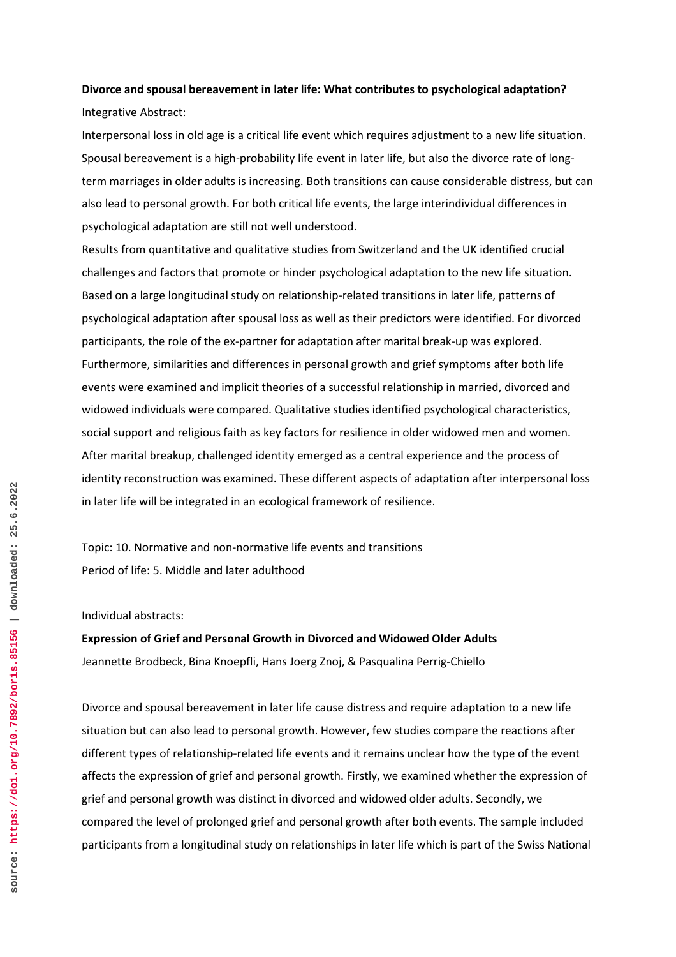## **Divorce and spousal bereavement in later life: What contributes to psychological adaptation?** Integrative Abstract:

Interpersonal loss in old age is a critical life event which requires adjustment to a new life situation. Spousal bereavement is a high-probability life event in later life, but also the divorce rate of longterm marriages in older adults is increasing. Both transitions can cause considerable distress, but can also lead to personal growth. For both critical life events, the large interindividual differences in psychological adaptation are still not well understood.

Results from quantitative and qualitative studies from Switzerland and the UK identified crucial challenges and factors that promote or hinder psychological adaptation to the new life situation. Based on a large longitudinal study on relationship-related transitions in later life, patterns of psychological adaptation after spousal loss as well as their predictors were identified. For divorced participants, the role of the ex-partner for adaptation after marital break-up was explored. Furthermore, similarities and differences in personal growth and grief symptoms after both life events were examined and implicit theories of a successful relationship in married, divorced and widowed individuals were compared. Qualitative studies identified psychological characteristics, social support and religious faith as key factors for resilience in older widowed men and women. After marital breakup, challenged identity emerged as a central experience and the process of identity reconstruction was examined. These different aspects of adaptation after interpersonal loss in later life will be integrated in an ecological framework of resilience.

Topic: 10. Normative and non-normative life events and transitions Period of life: 5. Middle and later adulthood

Individual abstracts:

**Expression of Grief and Personal Growth in Divorced and Widowed Older Adults** Jeannette Brodbeck, Bina Knoepfli, Hans Joerg Znoj, & Pasqualina Perrig-Chiello

Divorce and spousal bereavement in later life cause distress and require adaptation to a new life situation but can also lead to personal growth. However, few studies compare the reactions after different types of relationship-related life events and it remains unclear how the type of the event affects the expression of grief and personal growth. Firstly, we examined whether the expression of grief and personal growth was distinct in divorced and widowed older adults. Secondly, we compared the level of prolonged grief and personal growth after both events. The sample included participants from a longitudinal study on relationships in later life which is part of the Swiss National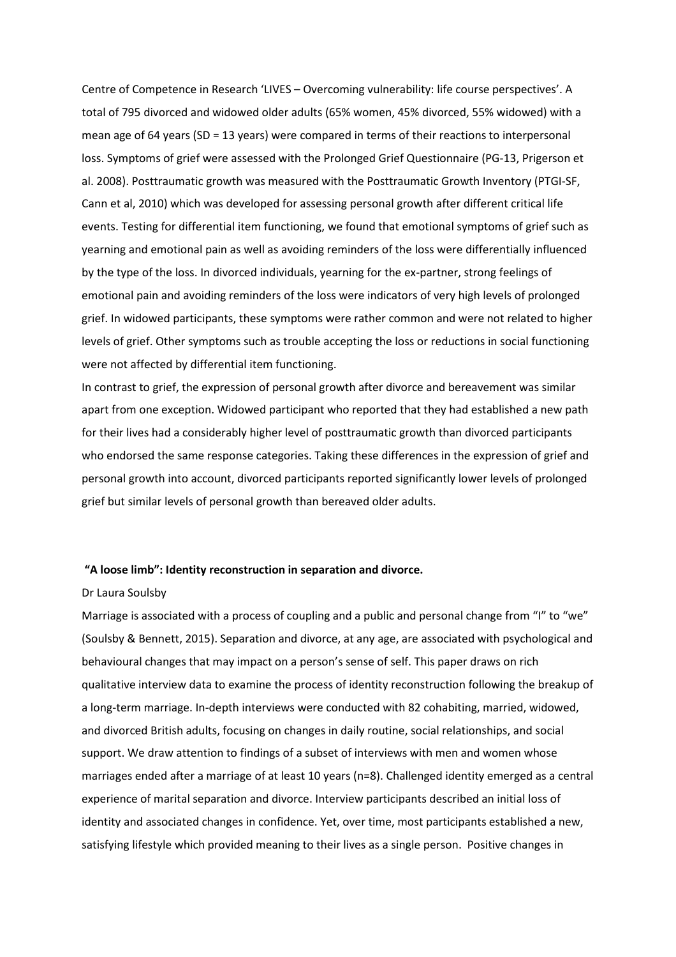Centre of Competence in Research 'LIVES – Overcoming vulnerability: life course perspectives'. A total of 795 divorced and widowed older adults (65% women, 45% divorced, 55% widowed) with a mean age of 64 years (SD = 13 years) were compared in terms of their reactions to interpersonal loss. Symptoms of grief were assessed with the Prolonged Grief Questionnaire (PG-13, Prigerson et al. 2008). Posttraumatic growth was measured with the Posttraumatic Growth Inventory (PTGI-SF, Cann et al, 2010) which was developed for assessing personal growth after different critical life events. Testing for differential item functioning, we found that emotional symptoms of grief such as yearning and emotional pain as well as avoiding reminders of the loss were differentially influenced by the type of the loss. In divorced individuals, yearning for the ex-partner, strong feelings of emotional pain and avoiding reminders of the loss were indicators of very high levels of prolonged grief. In widowed participants, these symptoms were rather common and were not related to higher levels of grief. Other symptoms such as trouble accepting the loss or reductions in social functioning were not affected by differential item functioning.

In contrast to grief, the expression of personal growth after divorce and bereavement was similar apart from one exception. Widowed participant who reported that they had established a new path for their lives had a considerably higher level of posttraumatic growth than divorced participants who endorsed the same response categories. Taking these differences in the expression of grief and personal growth into account, divorced participants reported significantly lower levels of prolonged grief but similar levels of personal growth than bereaved older adults.

### **"A loose limb": Identity reconstruction in separation and divorce.**

#### Dr Laura Soulsby

Marriage is associated with a process of coupling and a public and personal change from "I" to "we" (Soulsby & Bennett, 2015). Separation and divorce, at any age, are associated with psychological and behavioural changes that may impact on a person's sense of self. This paper draws on rich qualitative interview data to examine the process of identity reconstruction following the breakup of a long-term marriage. In-depth interviews were conducted with 82 cohabiting, married, widowed, and divorced British adults, focusing on changes in daily routine, social relationships, and social support. We draw attention to findings of a subset of interviews with men and women whose marriages ended after a marriage of at least 10 years (n=8). Challenged identity emerged as a central experience of marital separation and divorce. Interview participants described an initial loss of identity and associated changes in confidence. Yet, over time, most participants established a new, satisfying lifestyle which provided meaning to their lives as a single person. Positive changes in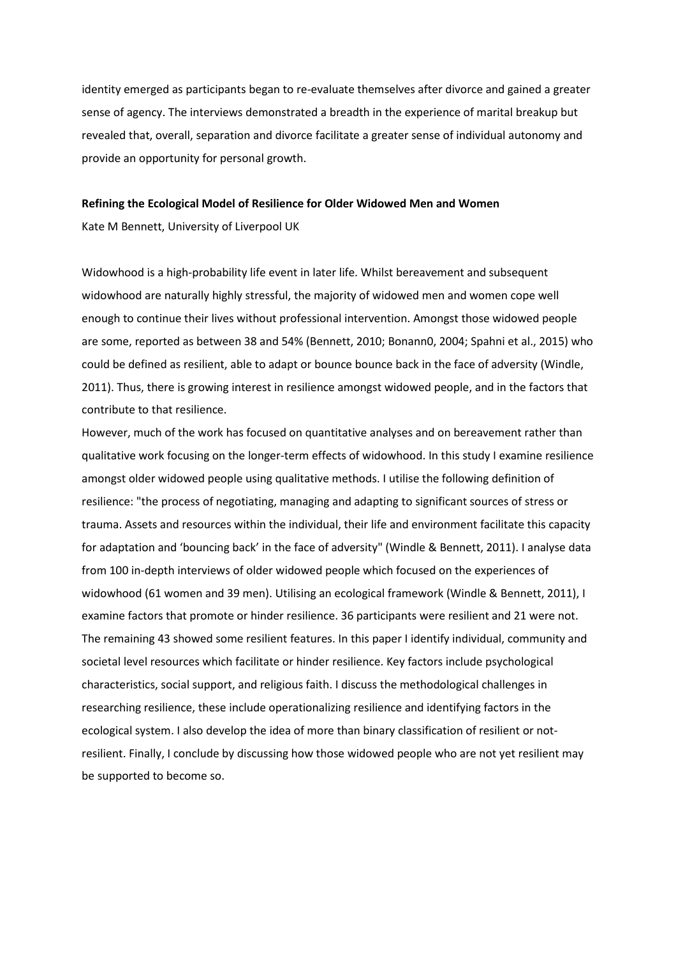identity emerged as participants began to re-evaluate themselves after divorce and gained a greater sense of agency. The interviews demonstrated a breadth in the experience of marital breakup but revealed that, overall, separation and divorce facilitate a greater sense of individual autonomy and provide an opportunity for personal growth.

#### **Refining the Ecological Model of Resilience for Older Widowed Men and Women**

Kate M Bennett, University of Liverpool UK

Widowhood is a high-probability life event in later life. Whilst bereavement and subsequent widowhood are naturally highly stressful, the majority of widowed men and women cope well enough to continue their lives without professional intervention. Amongst those widowed people are some, reported as between 38 and 54% (Bennett, 2010; Bonann0, 2004; Spahni et al., 2015) who could be defined as resilient, able to adapt or bounce bounce back in the face of adversity (Windle, 2011). Thus, there is growing interest in resilience amongst widowed people, and in the factors that contribute to that resilience.

However, much of the work has focused on quantitative analyses and on bereavement rather than qualitative work focusing on the longer-term effects of widowhood. In this study I examine resilience amongst older widowed people using qualitative methods. I utilise the following definition of resilience: "the process of negotiating, managing and adapting to significant sources of stress or trauma. Assets and resources within the individual, their life and environment facilitate this capacity for adaptation and 'bouncing back' in the face of adversity" (Windle & Bennett, 2011). I analyse data from 100 in-depth interviews of older widowed people which focused on the experiences of widowhood (61 women and 39 men). Utilising an ecological framework (Windle & Bennett, 2011), I examine factors that promote or hinder resilience. 36 participants were resilient and 21 were not. The remaining 43 showed some resilient features. In this paper I identify individual, community and societal level resources which facilitate or hinder resilience. Key factors include psychological characteristics, social support, and religious faith. I discuss the methodological challenges in researching resilience, these include operationalizing resilience and identifying factors in the ecological system. I also develop the idea of more than binary classification of resilient or notresilient. Finally, I conclude by discussing how those widowed people who are not yet resilient may be supported to become so.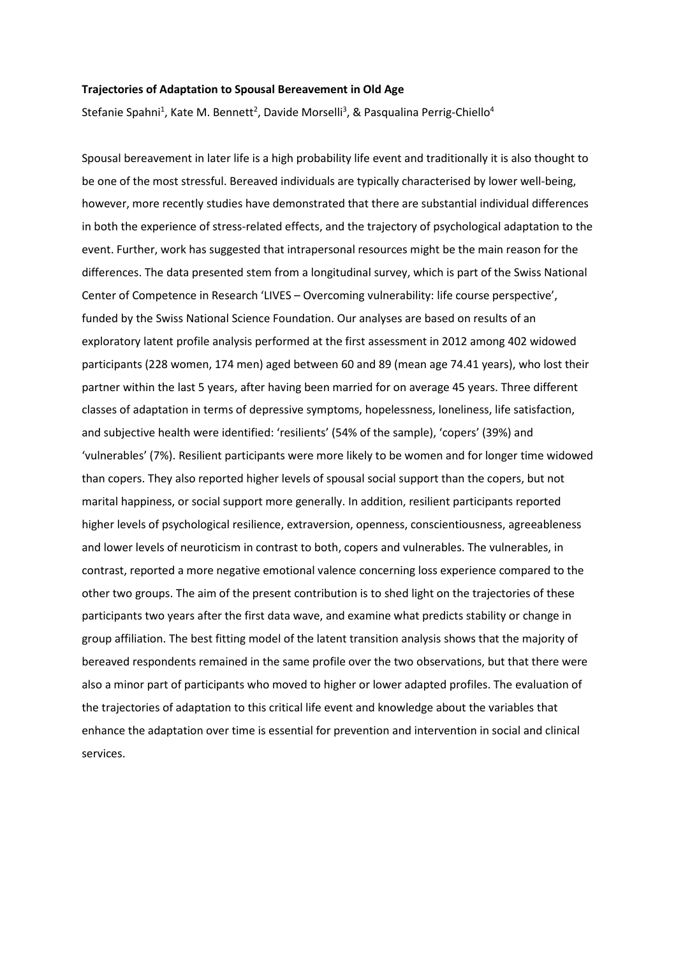### **Trajectories of Adaptation to Spousal Bereavement in Old Age**

Stefanie Spahni<sup>1</sup>, Kate M. Bennett<sup>2</sup>, Davide Morselli<sup>3</sup>, & Pasqualina Perrig-Chiello<sup>4</sup>

Spousal bereavement in later life is a high probability life event and traditionally it is also thought to be one of the most stressful. Bereaved individuals are typically characterised by lower well-being, however, more recently studies have demonstrated that there are substantial individual differences in both the experience of stress-related effects, and the trajectory of psychological adaptation to the event. Further, work has suggested that intrapersonal resources might be the main reason for the differences. The data presented stem from a longitudinal survey, which is part of the Swiss National Center of Competence in Research 'LIVES – Overcoming vulnerability: life course perspective', funded by the Swiss National Science Foundation. Our analyses are based on results of an exploratory latent profile analysis performed at the first assessment in 2012 among 402 widowed participants (228 women, 174 men) aged between 60 and 89 (mean age 74.41 years), who lost their partner within the last 5 years, after having been married for on average 45 years. Three different classes of adaptation in terms of depressive symptoms, hopelessness, loneliness, life satisfaction, and subjective health were identified: 'resilients' (54% of the sample), 'copers' (39%) and 'vulnerables' (7%). Resilient participants were more likely to be women and for longer time widowed than copers. They also reported higher levels of spousal social support than the copers, but not marital happiness, or social support more generally. In addition, resilient participants reported higher levels of psychological resilience, extraversion, openness, conscientiousness, agreeableness and lower levels of neuroticism in contrast to both, copers and vulnerables. The vulnerables, in contrast, reported a more negative emotional valence concerning loss experience compared to the other two groups. The aim of the present contribution is to shed light on the trajectories of these participants two years after the first data wave, and examine what predicts stability or change in group affiliation. The best fitting model of the latent transition analysis shows that the majority of bereaved respondents remained in the same profile over the two observations, but that there were also a minor part of participants who moved to higher or lower adapted profiles. The evaluation of the trajectories of adaptation to this critical life event and knowledge about the variables that enhance the adaptation over time is essential for prevention and intervention in social and clinical services.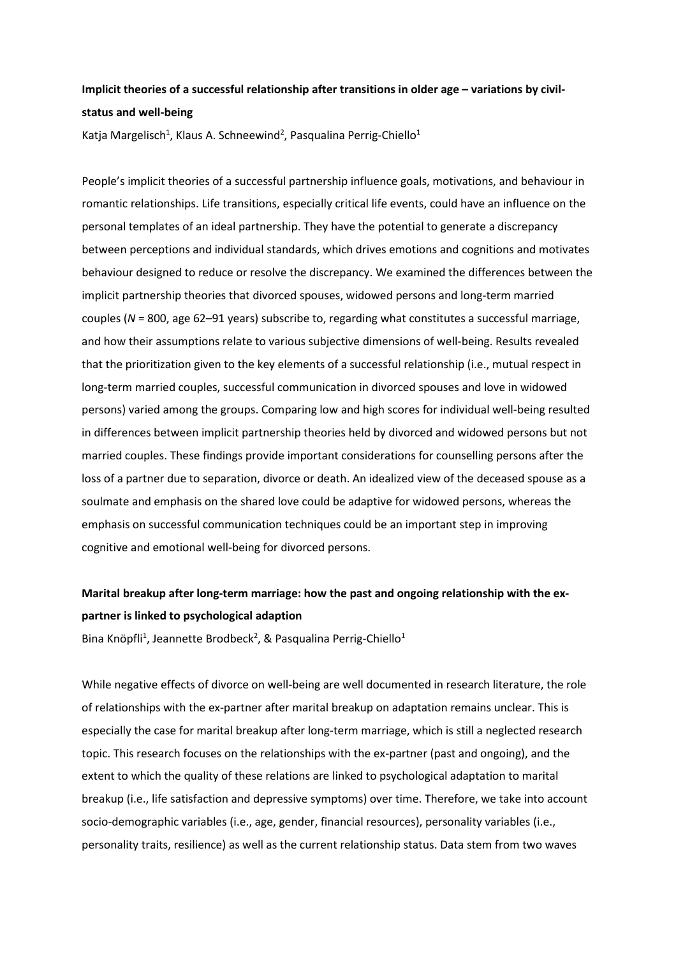## **Implicit theories of a successful relationship after transitions in older age – variations by civilstatus and well-being**

Katja Margelisch<sup>1</sup>, Klaus A. Schneewind<sup>2</sup>, Pasqualina Perrig-Chiello<sup>1</sup>

People's implicit theories of a successful partnership influence goals, motivations, and behaviour in romantic relationships. Life transitions, especially critical life events, could have an influence on the personal templates of an ideal partnership. They have the potential to generate a discrepancy between perceptions and individual standards, which drives emotions and cognitions and motivates behaviour designed to reduce or resolve the discrepancy. We examined the differences between the implicit partnership theories that divorced spouses, widowed persons and long-term married couples (*N* = 800, age 62–91 years) subscribe to, regarding what constitutes a successful marriage, and how their assumptions relate to various subjective dimensions of well-being. Results revealed that the prioritization given to the key elements of a successful relationship (i.e., mutual respect in long-term married couples, successful communication in divorced spouses and love in widowed persons) varied among the groups. Comparing low and high scores for individual well-being resulted in differences between implicit partnership theories held by divorced and widowed persons but not married couples. These findings provide important considerations for counselling persons after the loss of a partner due to separation, divorce or death. An idealized view of the deceased spouse as a soulmate and emphasis on the shared love could be adaptive for widowed persons, whereas the emphasis on successful communication techniques could be an important step in improving cognitive and emotional well-being for divorced persons.

# **Marital breakup after long-term marriage: how the past and ongoing relationship with the expartner is linked to psychological adaption**

Bina Knöpfli<sup>1</sup>, Jeannette Brodbeck<sup>2</sup>, & Pasqualina Perrig-Chiello<sup>1</sup>

While negative effects of divorce on well-being are well documented in research literature, the role of relationships with the ex-partner after marital breakup on adaptation remains unclear. This is especially the case for marital breakup after long-term marriage, which is still a neglected research topic. This research focuses on the relationships with the ex-partner (past and ongoing), and the extent to which the quality of these relations are linked to psychological adaptation to marital breakup (i.e., life satisfaction and depressive symptoms) over time. Therefore, we take into account socio-demographic variables (i.e., age, gender, financial resources), personality variables (i.e., personality traits, resilience) as well as the current relationship status. Data stem from two waves